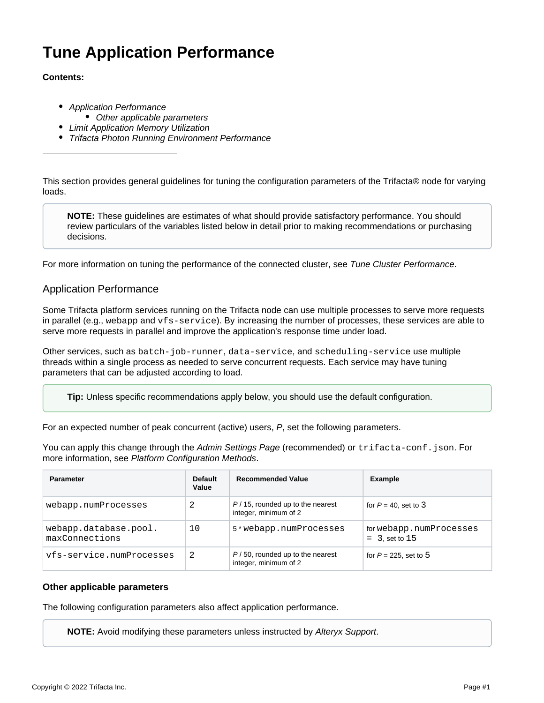# **Tune Application Performance**

#### **Contents:**

- [Application Performance](#page-0-0) • [Other applicable parameters](#page-0-1)
- **[Limit Application Memory Utilization](#page-1-0)**
- **[Trifacta Photon Running Environment Performance](#page-1-1)**

This section provides general guidelines for tuning the configuration parameters of the Trifacta® node for varying loads.

**NOTE:** These guidelines are estimates of what should provide satisfactory performance. You should review particulars of the variables listed below in detail prior to making recommendations or purchasing decisions.

For more information on tuning the performance of the connected cluster, see [Tune Cluster Performance](https://docs.trifacta.com/display/r082/Tune+Cluster+Performance).

### <span id="page-0-0"></span>Application Performance

Some Trifacta platform services running on the Trifacta node can use multiple processes to serve more requests in parallel (e.g., webapp and vfs-service). By increasing the number of processes, these services are able to serve more requests in parallel and improve the application's response time under load.

Other services, such as batch-job-runner, data-service, and scheduling-service use multiple threads within a single process as needed to serve concurrent requests. Each service may have tuning parameters that can be adjusted according to load.

**Tip:** Unless specific recommendations apply below, you should use the default configuration.

For an expected number of peak concurrent (active) users, P, set the following parameters.

You can apply this change through the [Admin Settings Page](https://docs.trifacta.com/display/r082/Admin+Settings+Page) (recommended) or trifacta-conf.json. For more information, see [Platform Configuration Methods](https://docs.trifacta.com/display/r082/Platform+Configuration+Methods).

| <b>Parameter</b>                        | <b>Default</b><br>Value | <b>Recommended Value</b>                                    | Example                                     |
|-----------------------------------------|-------------------------|-------------------------------------------------------------|---------------------------------------------|
| webapp.numProcesses                     | 2                       | $P/15$ , rounded up to the nearest<br>integer, minimum of 2 | for $P = 40$ , set to 3                     |
| webapp.database.pool.<br>maxConnections | 10                      | 5*webapp.numProcesses                                       | for webapp.numProcesses<br>$=$ 3, set to 15 |
| vfs-service.numProcesses                | 2                       | $P/50$ , rounded up to the nearest<br>integer, minimum of 2 | for $P = 225$ , set to 5                    |

#### <span id="page-0-1"></span>**Other applicable parameters**

The following configuration parameters also affect application performance.

**NOTE:** Avoid modifying these parameters unless instructed by [Alteryx Support](https://docs.trifacta.com/display/HOME/Contact+Support).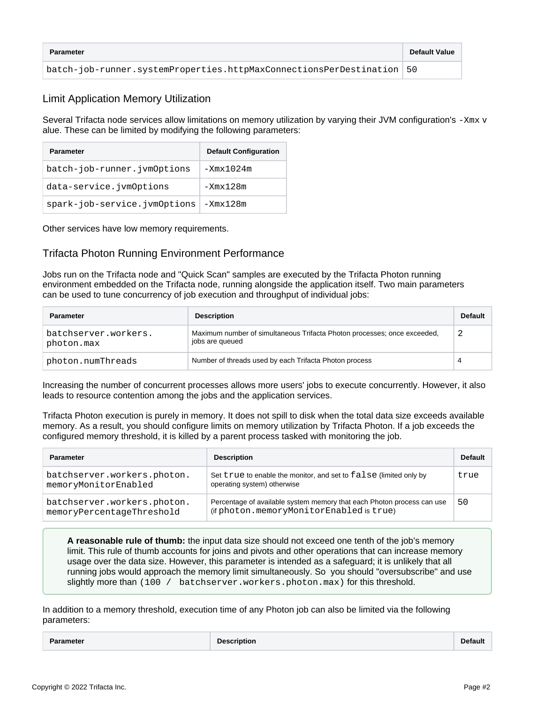| <b>Parameter</b>                                                      | <b>Default Value</b> |
|-----------------------------------------------------------------------|----------------------|
| batch-job-runner.systemProperties.httpMaxConnectionsPerDestination 50 |                      |

## <span id="page-1-0"></span>Limit Application Memory Utilization

Several Trifacta node services allow limitations on memory utilization by varying their JVM configuration's -Xmx v alue. These can be limited by modifying the following parameters:

| <b>Parameter</b>             | <b>Default Configuration</b> |
|------------------------------|------------------------------|
| batch-job-runner.jvmOptions  | $-Xmx1024m$                  |
| data-service.jvmOptions      | $-Xmx128m$                   |
| spark-job-service.jvmOptions | -Xmx128m                     |

Other services have low memory requirements.

## <span id="page-1-1"></span>Trifacta Photon Running Environment Performance

Jobs run on the Trifacta node and "Quick Scan" samples are executed by the Trifacta Photon running environment embedded on the Trifacta node, running alongside the application itself. Two main parameters can be used to tune concurrency of job execution and throughput of individual jobs:

| <b>Parameter</b>                   | <b>Description</b>                                                                          | <b>Default</b> |
|------------------------------------|---------------------------------------------------------------------------------------------|----------------|
| batchserver.workers.<br>photon.max | Maximum number of simultaneous Trifacta Photon processes; once exceeded,<br>jobs are queued | -2             |
| photon.numThreads                  | Number of threads used by each Trifacta Photon process                                      | 4              |

Increasing the number of concurrent processes allows more users' jobs to execute concurrently. However, it also leads to resource contention among the jobs and the application services.

Trifacta Photon execution is purely in memory. It does not spill to disk when the total data size exceeds available memory. As a result, you should configure limits on memory utilization by Trifacta Photon. If a job exceeds the configured memory threshold, it is killed by a parent process tasked with monitoring the job.

| <b>Parameter</b>                                         | <b>Description</b>                                                                                                 | <b>Default</b> |
|----------------------------------------------------------|--------------------------------------------------------------------------------------------------------------------|----------------|
| batchserver.workers.photon.<br>memoryMonitorEnabled      | Set true to enable the monitor, and set to false (limited only by<br>operating system) otherwise                   | true           |
| batchserver.workers.photon.<br>memoryPercentageThreshold | Percentage of available system memory that each Photon process can use<br>(if photon.memoryMonitorEnabled is true) | 50             |

**A reasonable rule of thumb:** the input data size should not exceed one tenth of the job's memory limit. This rule of thumb accounts for joins and pivots and other operations that can increase memory usage over the data size. However, this parameter is intended as a safeguard; it is unlikely that all running jobs would approach the memory limit simultaneously. So you should "oversubscribe" and use slightly more than (100 / batchserver.workers.photon.max) for this threshold.

In addition to a memory threshold, execution time of any Photon job can also be limited via the following parameters:

**Parameter Description Default**